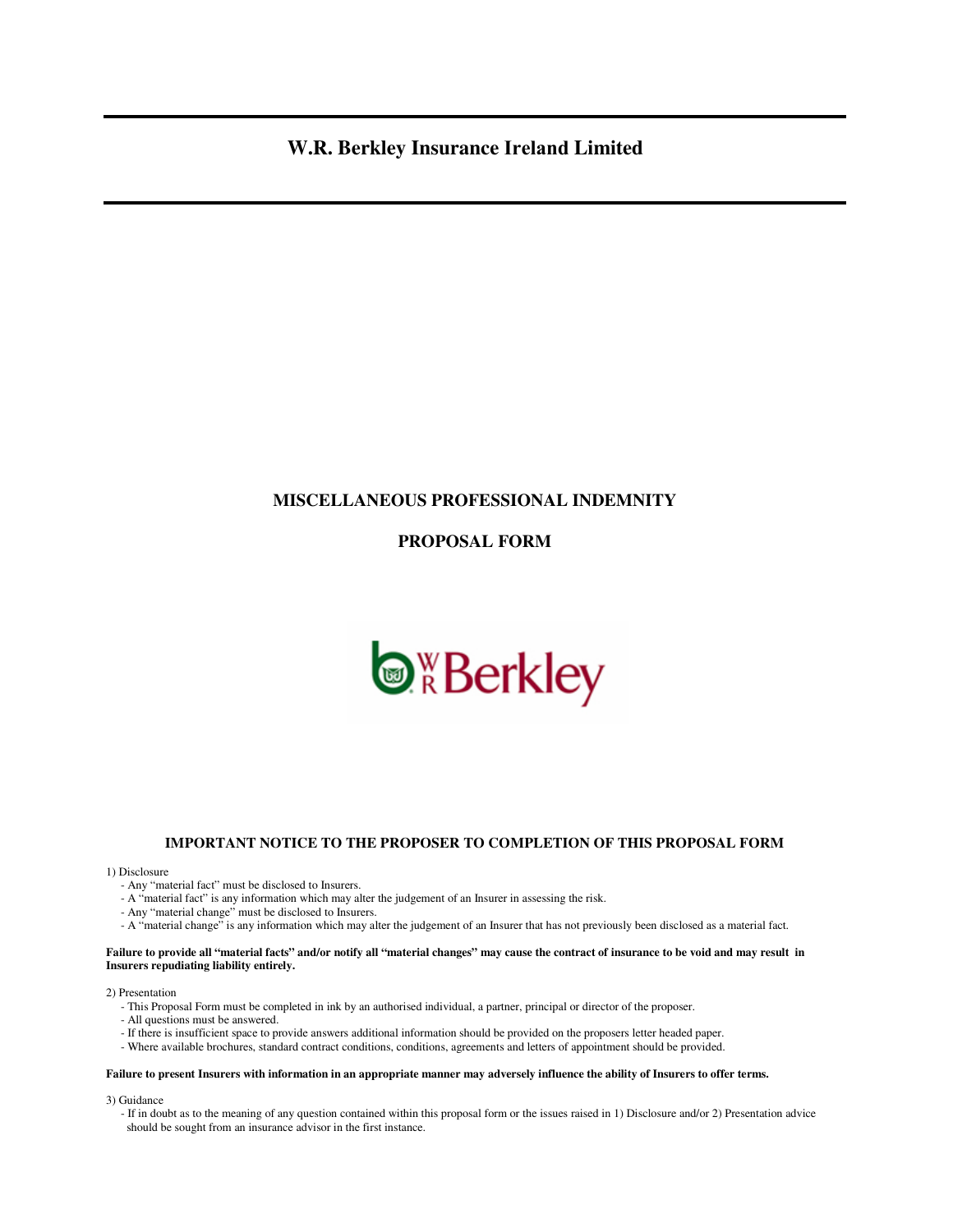# **W.R. Berkley Insurance Ireland Limited**

# **MISCELLANEOUS PROFESSIONAL INDEMNITY**

## **PROPOSAL FORM**



### **IMPORTANT NOTICE TO THE PROPOSER TO COMPLETION OF THIS PROPOSAL FORM**

#### 1) Disclosure

- Any "material fact" must be disclosed to Insurers.
- A "material fact" is any information which may alter the judgement of an Insurer in assessing the risk.
- Any "material change" must be disclosed to Insurers.
- A "material change" is any information which may alter the judgement of an Insurer that has not previously been disclosed as a material fact.

#### **Failure to provide all "material facts" and/or notify all "material changes" may cause the contract of insurance to be void and may result in Insurers repudiating liability entirely.**

#### 2) Presentation

- This Proposal Form must be completed in ink by an authorised individual, a partner, principal or director of the proposer.
- All questions must be answered.
- If there is insufficient space to provide answers additional information should be provided on the proposers letter headed paper.
- Where available brochures, standard contract conditions, conditions, agreements and letters of appointment should be provided.

#### **Failure to present Insurers with information in an appropriate manner may adversely influence the ability of Insurers to offer terms.**

3) Guidance

 - If in doubt as to the meaning of any question contained within this proposal form or the issues raised in 1) Disclosure and/or 2) Presentation advice should be sought from an insurance advisor in the first instance.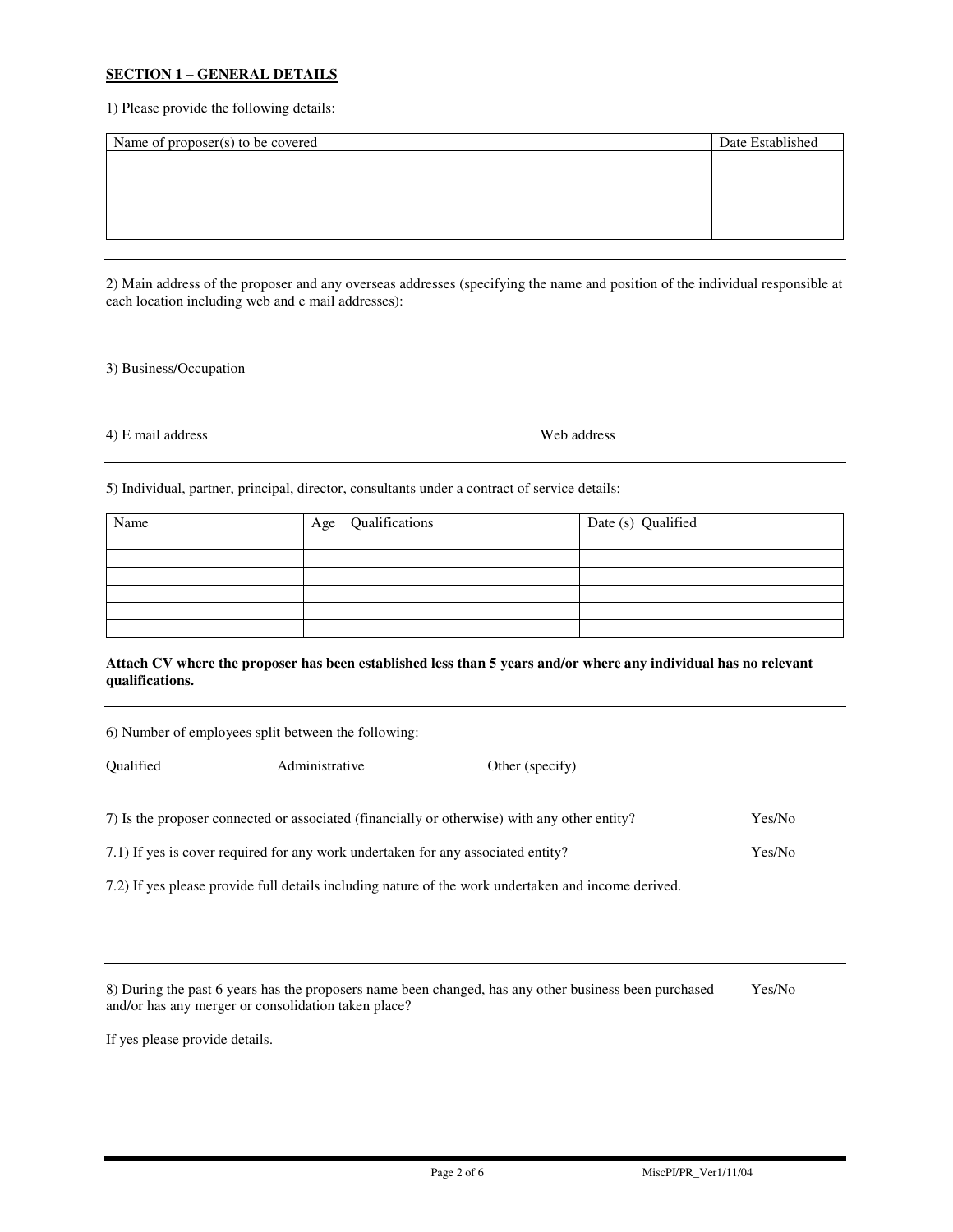### **SECTION 1 – GENERAL DETAILS**

1) Please provide the following details:

| Name of proposer(s) to be covered | Date Established |
|-----------------------------------|------------------|
|                                   |                  |
|                                   |                  |
|                                   |                  |
|                                   |                  |
|                                   |                  |

2) Main address of the proposer and any overseas addresses (specifying the name and position of the individual responsible at each location including web and e mail addresses):

3) Business/Occupation

Web address

5) Individual, partner, principal, director, consultants under a contract of service details:

| Name | Age | Qualifications | Date (s) Qualified |
|------|-----|----------------|--------------------|
|      |     |                |                    |
|      |     |                |                    |
|      |     |                |                    |
|      |     |                |                    |
|      |     |                |                    |
|      |     |                |                    |

## **Attach CV where the proposer has been established less than 5 years and/or where any individual has no relevant qualifications.**

| 6) Number of employees split between the following:                                                    |                |                 |        |  |
|--------------------------------------------------------------------------------------------------------|----------------|-----------------|--------|--|
| <b>Oualified</b>                                                                                       | Administrative | Other (specify) |        |  |
| 7) Is the proposer connected or associated (financially or otherwise) with any other entity?<br>Yes/No |                |                 |        |  |
| 7.1) If yes is cover required for any work undertaken for any associated entity?                       |                |                 | Yes/No |  |
| 7.2) If yes please provide full details including nature of the work undertaken and income derived.    |                |                 |        |  |

8) During the past 6 years has the proposers name been changed, has any other business been purchased Yes/No and/or has any merger or consolidation taken place?

If yes please provide details.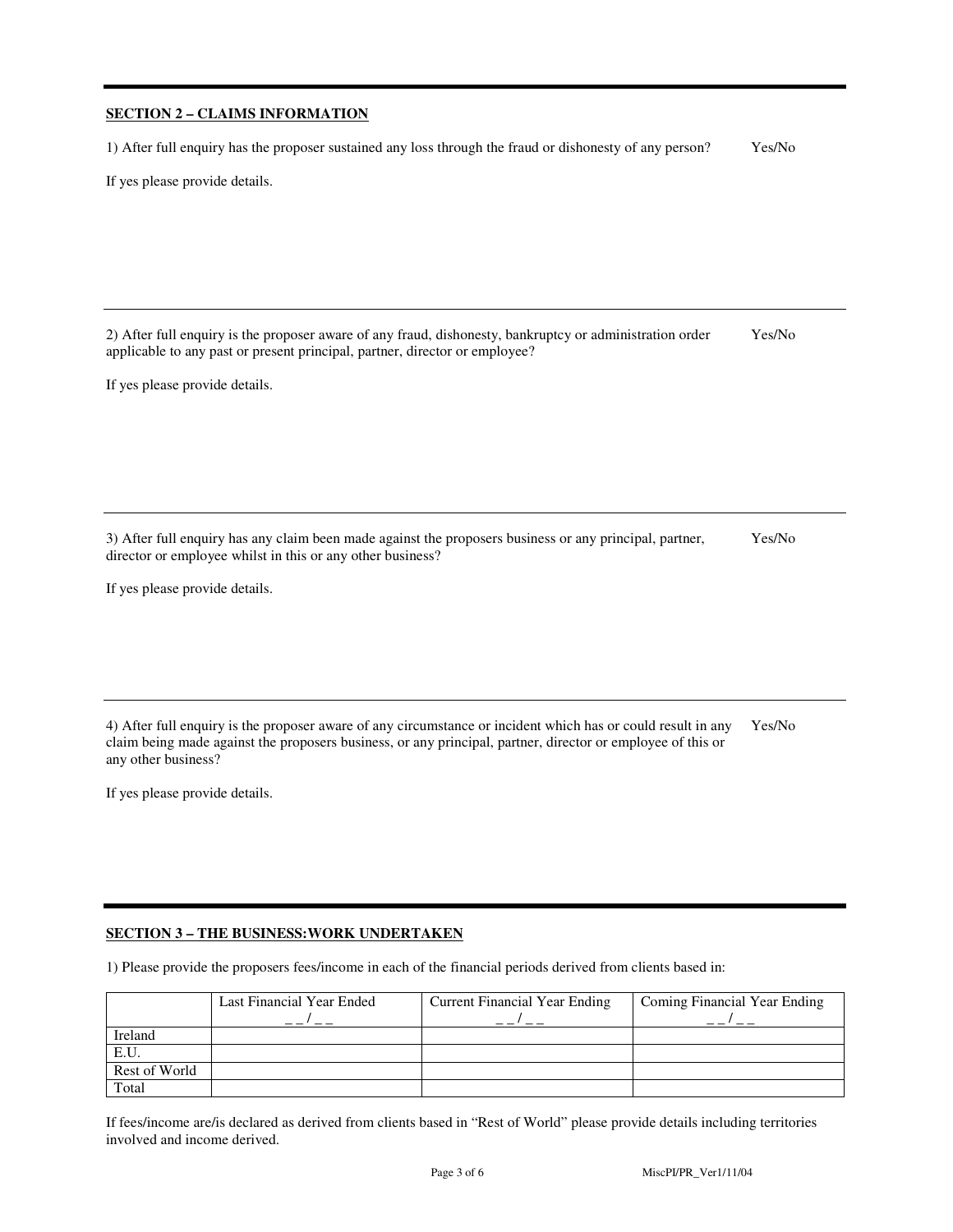### **SECTION 2 – CLAIMS INFORMATION**

1) After full enquiry has the proposer sustained any loss through the fraud or dishonesty of any person? Yes/No

If yes please provide details.

2) After full enquiry is the proposer aware of any fraud, dishonesty, bankruptcy or administration order Yes/No applicable to any past or present principal, partner, director or employee?

If yes please provide details.

3) After full enquiry has any claim been made against the proposers business or any principal, partner, Yes/No director or employee whilst in this or any other business?

If yes please provide details.

4) After full enquiry is the proposer aware of any circumstance or incident which has or could result in any Yes/No claim being made against the proposers business, or any principal, partner, director or employee of this or any other business?

If yes please provide details.

## **SECTION 3 – THE BUSINESS:WORK UNDERTAKEN**

1) Please provide the proposers fees/income in each of the financial periods derived from clients based in:

|               | Last Financial Year Ended | <b>Current Financial Year Ending</b> | Coming Financial Year Ending |
|---------------|---------------------------|--------------------------------------|------------------------------|
| Ireland       |                           |                                      |                              |
| E.U.          |                           |                                      |                              |
| Rest of World |                           |                                      |                              |
| Total         |                           |                                      |                              |

If fees/income are/is declared as derived from clients based in "Rest of World" please provide details including territories involved and income derived.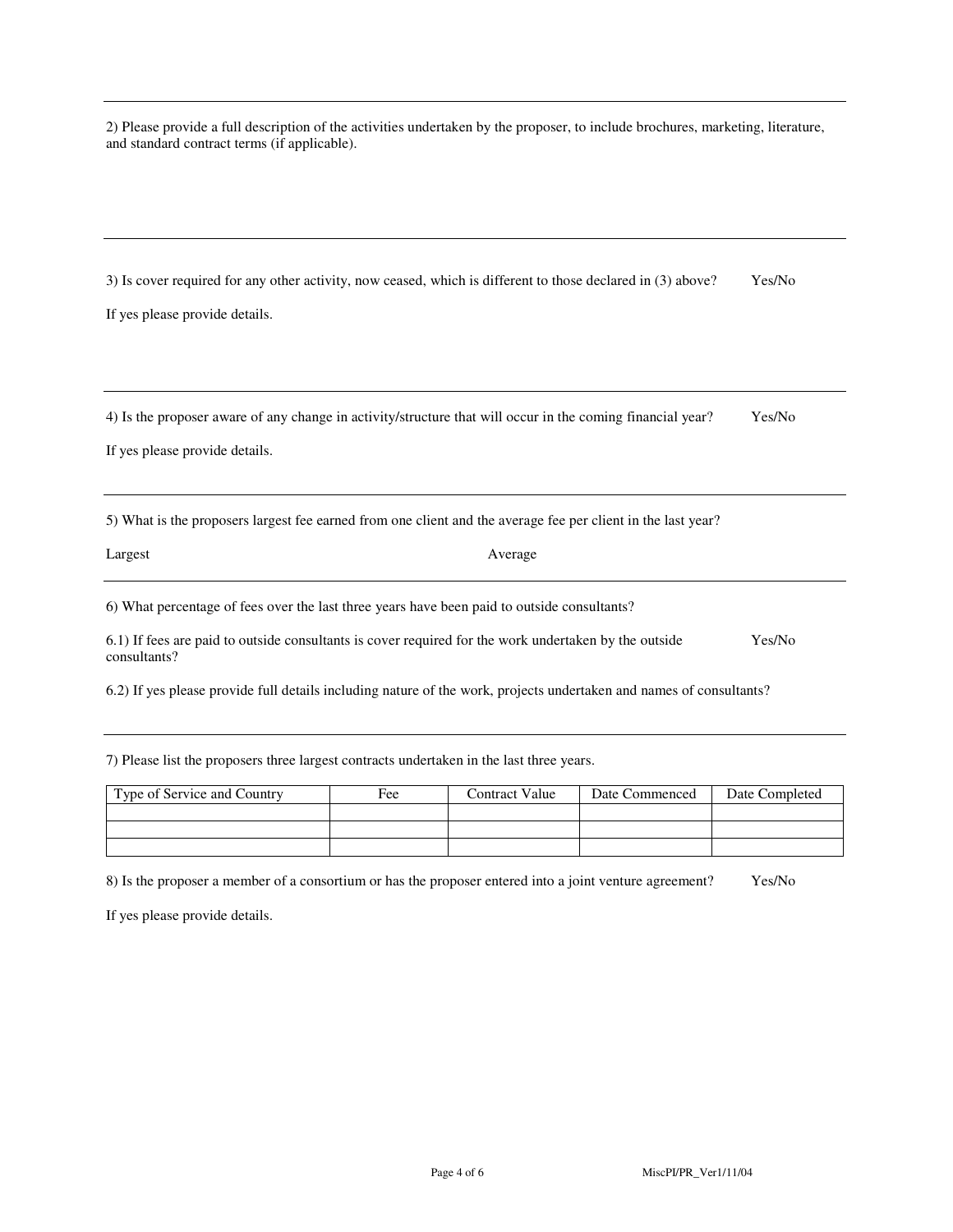2) Please provide a full description of the activities undertaken by the proposer, to include brochures, marketing, literature, and standard contract terms (if applicable).

3) Is cover required for any other activity, now ceased, which is different to those declared in (3) above? Yes/No

If yes please provide details.

4) Is the proposer aware of any change in activity/structure that will occur in the coming financial year? Yes/No

If yes please provide details.

5) What is the proposers largest fee earned from one client and the average fee per client in the last year?

| Largest | Average |
|---------|---------|
|---------|---------|

6) What percentage of fees over the last three years have been paid to outside consultants?

6.1) If fees are paid to outside consultants is cover required for the work undertaken by the outside Yes/No consultants?

6.2) If yes please provide full details including nature of the work, projects undertaken and names of consultants?

7) Please list the proposers three largest contracts undertaken in the last three years.

| Type of Service and Country | Fee | Contract Value | Date Commenced | Date Completed |
|-----------------------------|-----|----------------|----------------|----------------|
|                             |     |                |                |                |
|                             |     |                |                |                |
|                             |     |                |                |                |

8) Is the proposer a member of a consortium or has the proposer entered into a joint venture agreement? Yes/No

If yes please provide details.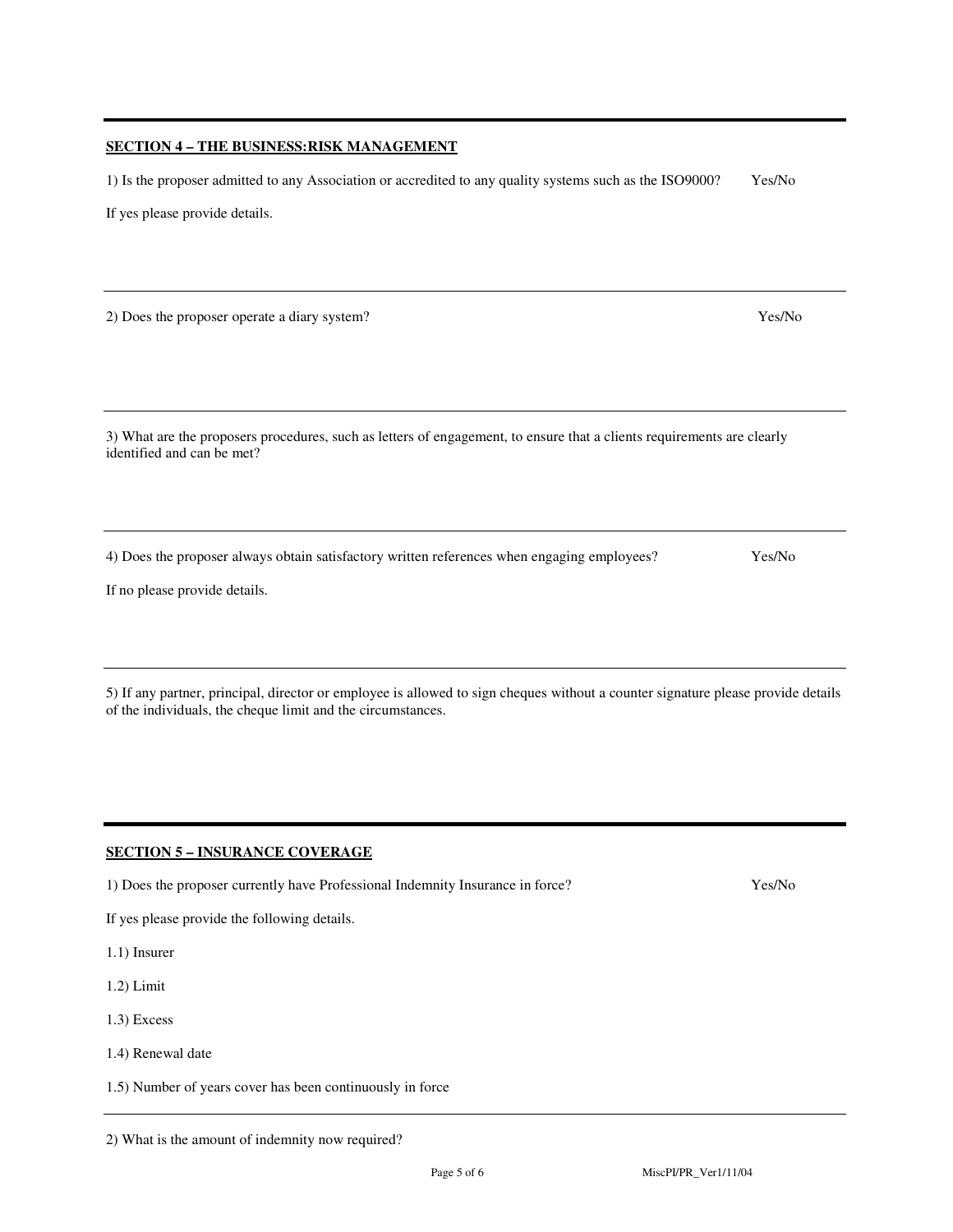# **SECTION 4 – THE BUSINESS:RISK MANAGEMENT**

1) Is the proposer admitted to any Association or accredited to any quality systems such as the ISO9000? Yes/No

If yes please provide details.

2) Does the proposer operate a diary system? Yes/No

3) What are the proposers procedures, such as letters of engagement, to ensure that a clients requirements are clearly identified and can be met?

4) Does the proposer always obtain satisfactory written references when engaging employees? Yes/No

If no please provide details.

5) If any partner, principal, director or employee is allowed to sign cheques without a counter signature please provide details of the individuals, the cheque limit and the circumstances.

**SECTION 5 – INSURANCE COVERAGE**

1) Does the proposer currently have Professional Indemnity Insurance in force? Yes/No

If yes please provide the following details.

1.1) Insurer

- 1.2) Limit
- 1.3) Excess
- 1.4) Renewal date
- 1.5) Number of years cover has been continuously in force

2) What is the amount of indemnity now required?